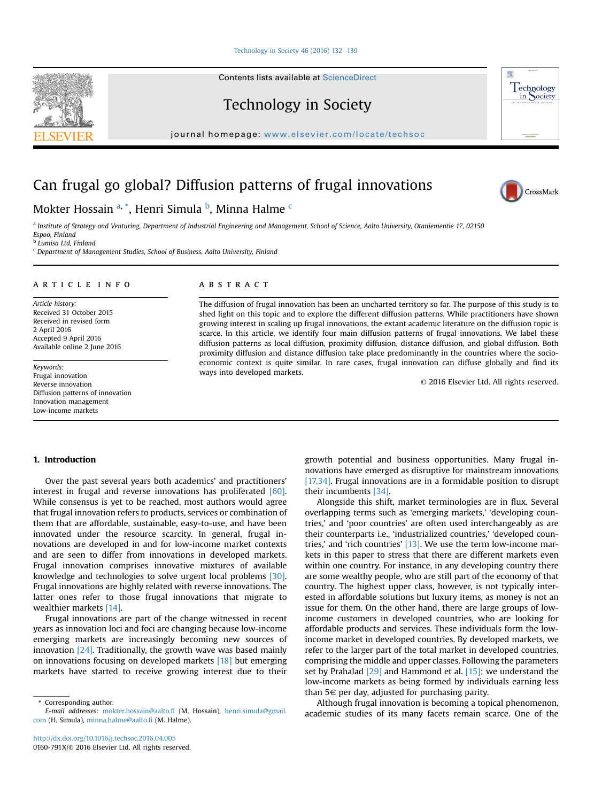#### Technology in Society  $46$  (2016) 132-[139](http://dx.doi.org/10.1016/j.techsoc.2016.04.005)

Contents lists available at ScienceDirect

Technology in Society

journal homepage: <www.elsevier.com/locate/techsoc>

# Can frugal go global? Diffusion patterns of frugal innovations

Mokter Hossain <sup>a, \*</sup>, Henri Simula <sup>b</sup>, Minna Halme <sup>c</sup>

a Institute of Strategy and Venturing, Department of Industrial Engineering and Management, School of Science, Aalto University, Otaniementie 17, 02150 Espoo, Finland <sup>b</sup> Lumisa Ltd, Finland

 $c$  Department of Management Studies, School of Business, Aalto University, Finland

#### article info

Article history: Received 31 October 2015 Received in revised form 2 April 2016 Accepted 9 April 2016 Available online 2 June 2016

Keywords: Frugal innovation Reverse innovation Diffusion patterns of innovation Innovation management Low-income markets

# ABSTRACT

The diffusion of frugal innovation has been an uncharted territory so far. The purpose of this study is to shed light on this topic and to explore the different diffusion patterns. While practitioners have shown growing interest in scaling up frugal innovations, the extant academic literature on the diffusion topic is scarce. In this article, we identify four main diffusion patterns of frugal innovations. We label these diffusion patterns as local diffusion, proximity diffusion, distance diffusion, and global diffusion. Both proximity diffusion and distance diffusion take place predominantly in the countries where the socioeconomic context is quite similar. In rare cases, frugal innovation can diffuse globally and find its ways into developed markets.

© 2016 Elsevier Ltd. All rights reserved.

# 1. Introduction

Over the past several years both academics' and practitioners' interest in frugal and reverse innovations has proliferated [\[60\].](#page-7-0) While consensus is yet to be reached, most authors would agree that frugal innovation refers to products, services or combination of them that are affordable, sustainable, easy-to-use, and have been innovated under the resource scarcity. In general, frugal innovations are developed in and for low-income market contexts and are seen to differ from innovations in developed markets. Frugal innovation comprises innovative mixtures of available knowledge and technologies to solve urgent local problems [\[30\].](#page-6-0) Frugal innovations are highly related with reverse innovations. The latter ones refer to those frugal innovations that migrate to wealthier markets [\[14\]](#page-6-0).

Frugal innovations are part of the change witnessed in recent years as innovation loci and foci are changing because low-income emerging markets are increasingly becoming new sources of innovation [\[24\]](#page-6-0). Traditionally, the growth wave was based mainly on innovations focusing on developed markets [\[18\]](#page-6-0) but emerging markets have started to receive growing interest due to their

\* Corresponding author. E-mail addresses: [mokter.hossain@aalto.](mailto:mokter.hossain@aalto.fi)fi (M. Hossain), [henri.simula@gmail.](mailto:henri.simula@gmail.com) [com](mailto:henri.simula@gmail.com) (H. Simula), [minna.halme@aalto.](mailto:minna.halme@aalto.fi)fi (M. Halme).

growth potential and business opportunities. Many frugal innovations have emerged as disruptive for mainstream innovations [\[17,34\]](#page-6-0). Frugal innovations are in a formidable position to disrupt their incumbents [\[34\].](#page-6-0)

Alongside this shift, market terminologies are in flux. Several overlapping terms such as 'emerging markets,' 'developing countries,' and 'poor countries' are often used interchangeably as are their counterparts i.e., 'industrialized countries,' 'developed coun-tries,' and 'rich countries' [\[13\].](#page-6-0) We use the term low-income markets in this paper to stress that there are different markets even within one country. For instance, in any developing country there are some wealthy people, who are still part of the economy of that country. The highest upper class, however, is not typically interested in affordable solutions but luxury items, as money is not an issue for them. On the other hand, there are large groups of lowincome customers in developed countries, who are looking for affordable products and services. These individuals form the lowincome market in developed countries. By developed markets, we refer to the larger part of the total market in developed countries, comprising the middle and upper classes. Following the parameters set by Prahalad [\[29\]](#page-6-0) and Hammond et al. [\[15\]](#page-6-0); we understand the low-income markets as being formed by individuals earning less than  $5 \in$  per day, adjusted for purchasing parity.

Although frugal innovation is becoming a topical phenomenon, academic studies of its many facets remain scarce. One of the





屬 echnology in Society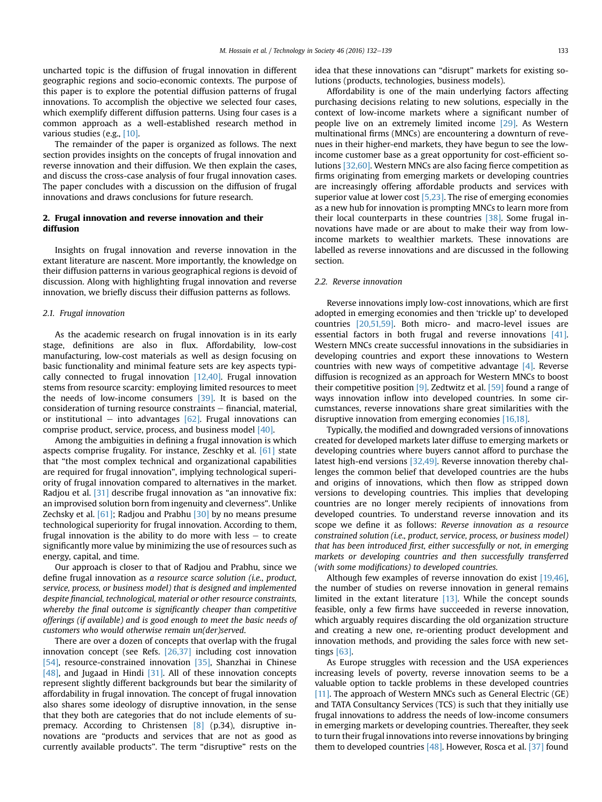uncharted topic is the diffusion of frugal innovation in different geographic regions and socio-economic contexts. The purpose of this paper is to explore the potential diffusion patterns of frugal innovations. To accomplish the objective we selected four cases, which exemplify different diffusion patterns. Using four cases is a common approach as a well-established research method in various studies (e.g., [\[10\].](#page-6-0)

The remainder of the paper is organized as follows. The next section provides insights on the concepts of frugal innovation and reverse innovation and their diffusion. We then explain the cases, and discuss the cross-case analysis of four frugal innovation cases. The paper concludes with a discussion on the diffusion of frugal innovations and draws conclusions for future research.

# 2. Frugal innovation and reverse innovation and their diffusion

Insights on frugal innovation and reverse innovation in the extant literature are nascent. More importantly, the knowledge on their diffusion patterns in various geographical regions is devoid of discussion. Along with highlighting frugal innovation and reverse innovation, we briefly discuss their diffusion patterns as follows.

#### 2.1. Frugal innovation

As the academic research on frugal innovation is in its early stage, definitions are also in flux. Affordability, low-cost manufacturing, low-cost materials as well as design focusing on basic functionality and minimal feature sets are key aspects typically connected to frugal innovation [\[12,40\]](#page-6-0). Frugal innovation stems from resource scarcity: employing limited resources to meet the needs of low-income consumers [\[39\]](#page-6-0). It is based on the consideration of turning resource constraints  $-$  financial, material, or institutional – into advantages  $[62]$ . Frugal innovations can comprise product, service, process, and business model [\[40\]](#page-6-0).

Among the ambiguities in defining a frugal innovation is which aspects comprise frugality. For instance, Zeschky et al. [\[61\]](#page-7-0) state that "the most complex technical and organizational capabilities are required for frugal innovation", implying technological superiority of frugal innovation compared to alternatives in the market. Radjou et al. [\[31\]](#page-6-0) describe frugal innovation as "an innovative fix: an improvised solution born from ingenuity and cleverness". Unlike Zechsky et al. [\[61\]](#page-7-0); Radjou and Prabhu [\[30\]](#page-6-0) by no means presume technological superiority for frugal innovation. According to them, frugal innovation is the ability to do more with less  $-$  to create significantly more value by minimizing the use of resources such as energy, capital, and time.

Our approach is closer to that of Radjou and Prabhu, since we define frugal innovation as a resource scarce solution (i.e., product, service, process, or business model) that is designed and implemented despite financial, technological, material or other resource constraints, whereby the final outcome is significantly cheaper than competitive offerings (if available) and is good enough to meet the basic needs of customers who would otherwise remain un(der)served.

There are over a dozen of concepts that overlap with the frugal innovation concept (see Refs. [\[26,37\]](#page-6-0) including cost innovation [\[54\],](#page-6-0) resource-constrained innovation [\[35\]](#page-6-0), Shanzhai in Chinese [\[48\],](#page-6-0) and Jugaad in Hindi [\[31\]](#page-6-0). All of these innovation concepts represent slightly different backgrounds but bear the similarity of affordability in frugal innovation. The concept of frugal innovation also shares some ideology of disruptive innovation, in the sense that they both are categories that do not include elements of supremacy. According to Christensen [\[8\]](#page-6-0) (p.34), disruptive innovations are "products and services that are not as good as currently available products". The term "disruptive" rests on the idea that these innovations can "disrupt" markets for existing solutions (products, technologies, business models).

Affordability is one of the main underlying factors affecting purchasing decisions relating to new solutions, especially in the context of low-income markets where a significant number of people live on an extremely limited income [\[29\]](#page-6-0). As Western multinational firms (MNCs) are encountering a downturn of revenues in their higher-end markets, they have begun to see the lowincome customer base as a great opportunity for cost-efficient solutions [\[32,60\]](#page-6-0). Western MNCs are also facing fierce competition as firms originating from emerging markets or developing countries are increasingly offering affordable products and services with superior value at lower cost  $[5,23]$ . The rise of emerging economies as a new hub for innovation is prompting MNCs to learn more from their local counterparts in these countries [\[38\].](#page-6-0) Some frugal innovations have made or are about to make their way from lowincome markets to wealthier markets. These innovations are labelled as reverse innovations and are discussed in the following section.

#### 2.2. Reverse innovation

Reverse innovations imply low-cost innovations, which are first adopted in emerging economies and then 'trickle up' to developed countries [\[20,51,59\]](#page-6-0). Both micro- and macro-level issues are essential factors in both frugal and reverse innovations [\[41\].](#page-6-0) Western MNCs create successful innovations in the subsidiaries in developing countries and export these innovations to Western countries with new ways of competitive advantage [\[4\].](#page-6-0) Reverse diffusion is recognized as an approach for Western MNCs to boost their competitive position  $[9]$ . Zedtwitz et al.  $[59]$  found a range of ways innovation inflow into developed countries. In some circumstances, reverse innovations share great similarities with the disruptive innovation from emerging economies [\[16,18\]](#page-6-0).

Typically, the modified and downgraded versions of innovations created for developed markets later diffuse to emerging markets or developing countries where buyers cannot afford to purchase the latest high-end versions [\[32,49\].](#page-6-0) Reverse innovation thereby challenges the common belief that developed countries are the hubs and origins of innovations, which then flow as stripped down versions to developing countries. This implies that developing countries are no longer merely recipients of innovations from developed countries. To understand reverse innovation and its scope we define it as follows: Reverse innovation as a resource constrained solution (i.e., product, service, process, or business model) that has been introduced first, either successfully or not, in emerging markets or developing countries and then successfully transferred (with some modifications) to developed countries.

Although few examples of reverse innovation do exist [\[19,46\],](#page-6-0) the number of studies on reverse innovation in general remains limited in the extant literature [\[13\].](#page-6-0) While the concept sounds feasible, only a few firms have succeeded in reverse innovation, which arguably requires discarding the old organization structure and creating a new one, re-orienting product development and innovation methods, and providing the sales force with new settings [\[63\].](#page-7-0)

As Europe struggles with recession and the USA experiences increasing levels of poverty, reverse innovation seems to be a valuable option to tackle problems in these developed countries [\[11\].](#page-6-0) The approach of Western MNCs such as General Electric (GE) and TATA Consultancy Services (TCS) is such that they initially use frugal innovations to address the needs of low-income consumers in emerging markets or developing countries. Thereafter, they seek to turn their frugal innovations into reverse innovations by bringing them to developed countries  $[48]$ . However, Rosca et al. [\[37\]](#page-6-0) found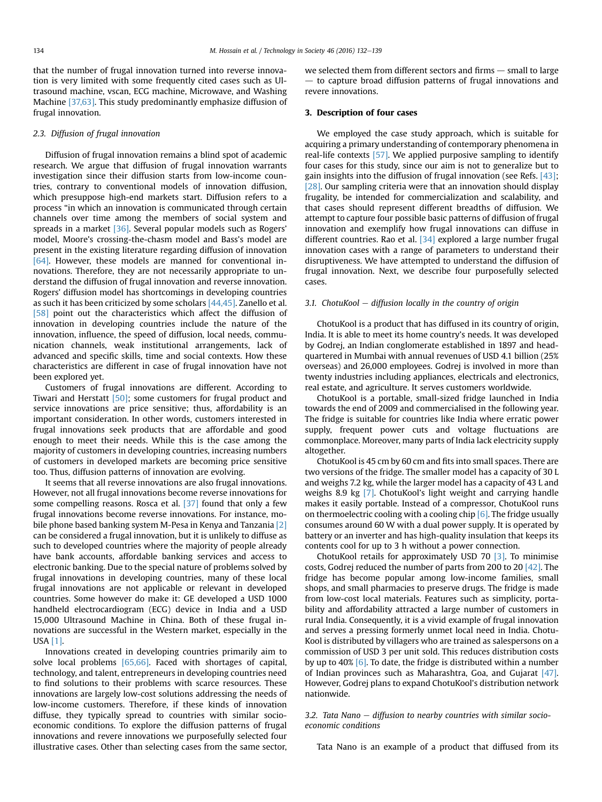that the number of frugal innovation turned into reverse innovation is very limited with some frequently cited cases such as Ultrasound machine, vscan, ECG machine, Microwave, and Washing Machine [\[37,63\].](#page-6-0) This study predominantly emphasize diffusion of frugal innovation.

## 2.3. Diffusion of frugal innovation

Diffusion of frugal innovation remains a blind spot of academic research. We argue that diffusion of frugal innovation warrants investigation since their diffusion starts from low-income countries, contrary to conventional models of innovation diffusion, which presuppose high-end markets start. Diffusion refers to a process "in which an innovation is communicated through certain channels over time among the members of social system and spreads in a market [\[36\].](#page-6-0) Several popular models such as Rogers' model, Moore's crossing-the-chasm model and Bass's model are present in the existing literature regarding diffusion of innovation [\[64\]](#page-7-0). However, these models are manned for conventional innovations. Therefore, they are not necessarily appropriate to understand the diffusion of frugal innovation and reverse innovation. Rogers' diffusion model has shortcomings in developing countries as such it has been criticized by some scholars [\[44,45\].](#page-6-0) Zanello et al. [\[58\]](#page-7-0) point out the characteristics which affect the diffusion of innovation in developing countries include the nature of the innovation, influence, the speed of diffusion, local needs, communication channels, weak institutional arrangements, lack of advanced and specific skills, time and social contexts. How these characteristics are different in case of frugal innovation have not been explored yet.

Customers of frugal innovations are different. According to Tiwari and Herstatt [\[50\]](#page-6-0); some customers for frugal product and service innovations are price sensitive; thus, affordability is an important consideration. In other words, customers interested in frugal innovations seek products that are affordable and good enough to meet their needs. While this is the case among the majority of customers in developing countries, increasing numbers of customers in developed markets are becoming price sensitive too. Thus, diffusion patterns of innovation are evolving.

It seems that all reverse innovations are also frugal innovations. However, not all frugal innovations become reverse innovations for some compelling reasons. Rosca et al. [\[37\]](#page-6-0) found that only a few frugal innovations become reverse innovations. For instance, mobile phone based banking system M-Pesa in Kenya and Tanzania [\[2\]](#page-6-0) can be considered a frugal innovation, but it is unlikely to diffuse as such to developed countries where the majority of people already have bank accounts, affordable banking services and access to electronic banking. Due to the special nature of problems solved by frugal innovations in developing countries, many of these local frugal innovations are not applicable or relevant in developed countries. Some however do make it: GE developed a USD 1000 handheld electrocardiogram (ECG) device in India and a USD 15,000 Ultrasound Machine in China. Both of these frugal innovations are successful in the Western market, especially in the USA [\[1\]](#page-6-0).

Innovations created in developing countries primarily aim to solve local problems [\[65,66\]](#page-7-0). Faced with shortages of capital, technology, and talent, entrepreneurs in developing countries need to find solutions to their problems with scarce resources. These innovations are largely low-cost solutions addressing the needs of low-income customers. Therefore, if these kinds of innovation diffuse, they typically spread to countries with similar socioeconomic conditions. To explore the diffusion patterns of frugal innovations and revere innovations we purposefully selected four illustrative cases. Other than selecting cases from the same sector, we selected them from different sectors and firms  $-$  small to large  $-$  to capture broad diffusion patterns of frugal innovations and revere innovations.

# 3. Description of four cases

We employed the case study approach, which is suitable for acquiring a primary understanding of contemporary phenomena in real-life contexts [\[57\].](#page-7-0) We applied purposive sampling to identify four cases for this study, since our aim is not to generalize but to gain insights into the diffusion of frugal innovation (see Refs. [\[43\]](#page-6-0); [\[28\]](#page-6-0). Our sampling criteria were that an innovation should display frugality, be intended for commercialization and scalability, and that cases should represent different breadths of diffusion. We attempt to capture four possible basic patterns of diffusion of frugal innovation and exemplify how frugal innovations can diffuse in different countries. Rao et al.  $[34]$  explored a large number frugal innovation cases with a range of parameters to understand their disruptiveness. We have attempted to understand the diffusion of frugal innovation. Next, we describe four purposefully selected cases.

### 3.1. ChotuKool  $-$  diffusion locally in the country of origin

ChotuKool is a product that has diffused in its country of origin, India. It is able to meet its home country's needs. It was developed by Godrej, an Indian conglomerate established in 1897 and headquartered in Mumbai with annual revenues of USD 4.1 billion (25% overseas) and 26,000 employees. Godrej is involved in more than twenty industries including appliances, electricals and electronics, real estate, and agriculture. It serves customers worldwide.

ChotuKool is a portable, small-sized fridge launched in India towards the end of 2009 and commercialised in the following year. The fridge is suitable for countries like India where erratic power supply, frequent power cuts and voltage fluctuations are commonplace. Moreover, many parts of India lack electricity supply altogether.

ChotuKool is 45 cm by 60 cm and fits into small spaces. There are two versions of the fridge. The smaller model has a capacity of 30 L and weighs 7.2 kg, while the larger model has a capacity of 43 L and weighs 8.9 kg [\[7\]](#page-6-0). ChotuKool's light weight and carrying handle makes it easily portable. Instead of a compressor, ChotuKool runs on thermoelectric cooling with a cooling chip  $[6]$ . The fridge usually consumes around 60 W with a dual power supply. It is operated by battery or an inverter and has high-quality insulation that keeps its contents cool for up to 3 h without a power connection.

ChotuKool retails for approximately USD 70 [\[3\].](#page-6-0) To minimise costs, Godrej reduced the number of parts from 200 to 20 [\[42\]](#page-6-0). The fridge has become popular among low-income families, small shops, and small pharmacies to preserve drugs. The fridge is made from low-cost local materials. Features such as simplicity, portability and affordability attracted a large number of customers in rural India. Consequently, it is a vivid example of frugal innovation and serves a pressing formerly unmet local need in India. Chotu-Kool is distributed by villagers who are trained as salespersons on a commission of USD 3 per unit sold. This reduces distribution costs by up to 40% [\[6\]](#page-6-0). To date, the fridge is distributed within a number of Indian provinces such as Maharashtra, Goa, and Gujarat [\[47\].](#page-6-0) However, Godrej plans to expand ChotuKool's distribution network nationwide.

3.2. Tata Nano  $-$  diffusion to nearby countries with similar socioeconomic conditions

Tata Nano is an example of a product that diffused from its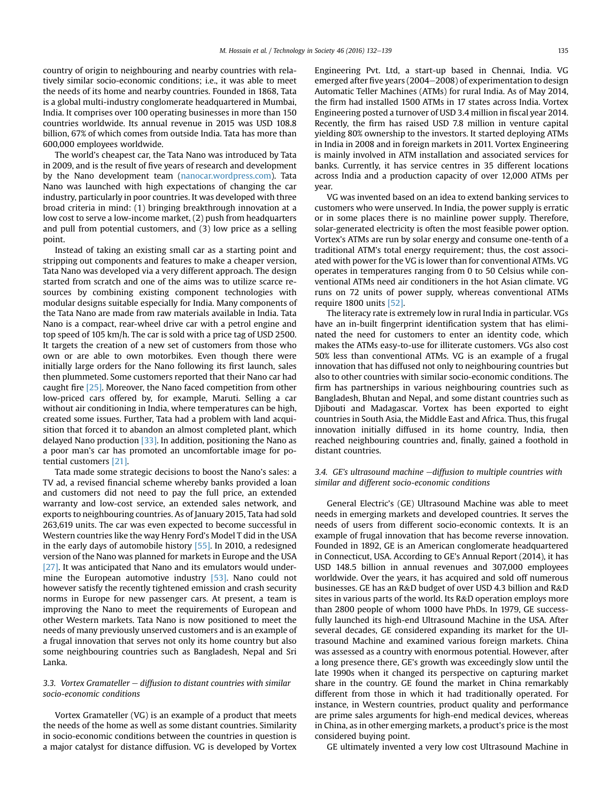country of origin to neighbouring and nearby countries with relatively similar socio-economic conditions; i.e., it was able to meet the needs of its home and nearby countries. Founded in 1868, Tata is a global multi-industry conglomerate headquartered in Mumbai, India. It comprises over 100 operating businesses in more than 150 countries worldwide. Its annual revenue in 2015 was USD 108.8 billion, 67% of which comes from outside India. Tata has more than 600,000 employees worldwide.

The world's cheapest car, the Tata Nano was introduced by Tata in 2009, and is the result of five years of research and development by the Nano development team ([nanocar.wordpress.com](http://nanocar.wordpress.com)). Tata Nano was launched with high expectations of changing the car industry, particularly in poor countries. It was developed with three broad criteria in mind: (1) bringing breakthrough innovation at a low cost to serve a low-income market, (2) push from headquarters and pull from potential customers, and (3) low price as a selling point.

Instead of taking an existing small car as a starting point and stripping out components and features to make a cheaper version, Tata Nano was developed via a very different approach. The design started from scratch and one of the aims was to utilize scarce resources by combining existing component technologies with modular designs suitable especially for India. Many components of the Tata Nano are made from raw materials available in India. Tata Nano is a compact, rear-wheel drive car with a petrol engine and top speed of 105 km/h. The car is sold with a price tag of USD 2500. It targets the creation of a new set of customers from those who own or are able to own motorbikes. Even though there were initially large orders for the Nano following its first launch, sales then plummeted. Some customers reported that their Nano car had caught fire [\[25\].](#page-6-0) Moreover, the Nano faced competition from other low-priced cars offered by, for example, Maruti. Selling a car without air conditioning in India, where temperatures can be high, created some issues. Further, Tata had a problem with land acquisition that forced it to abandon an almost completed plant, which delayed Nano production  $[33]$ . In addition, positioning the Nano as a poor man's car has promoted an uncomfortable image for potential customers [\[21\].](#page-6-0)

Tata made some strategic decisions to boost the Nano's sales: a TV ad, a revised financial scheme whereby banks provided a loan and customers did not need to pay the full price, an extended warranty and low-cost service, an extended sales network, and exports to neighbouring countries. As of January 2015, Tata had sold 263,619 units. The car was even expected to become successful in Western countries like the way Henry Ford's Model T did in the USA in the early days of automobile history [\[55\]](#page-6-0). In 2010, a redesigned version of the Nano was planned for markets in Europe and the USA [\[27\].](#page-6-0) It was anticipated that Nano and its emulators would under-mine the European automotive industry [\[53\]](#page-6-0). Nano could not however satisfy the recently tightened emission and crash security norms in Europe for new passenger cars. At present, a team is improving the Nano to meet the requirements of European and other Western markets. Tata Nano is now positioned to meet the needs of many previously unserved customers and is an example of a frugal innovation that serves not only its home country but also some neighbouring countries such as Bangladesh, Nepal and Sri Lanka.

# 3.3. Vortex Gramateller  $-$  diffusion to distant countries with similar socio-economic conditions

Vortex Gramateller (VG) is an example of a product that meets the needs of the home as well as some distant countries. Similarity in socio-economic conditions between the countries in question is a major catalyst for distance diffusion. VG is developed by Vortex Engineering Pvt. Ltd, a start-up based in Chennai, India. VG emerged after five years (2004 $-$ 2008) of experimentation to design Automatic Teller Machines (ATMs) for rural India. As of May 2014, the firm had installed 1500 ATMs in 17 states across India. Vortex Engineering posted a turnover of USD 3.4 million in fiscal year 2014. Recently, the firm has raised USD 7.8 million in venture capital yielding 80% ownership to the investors. It started deploying ATMs in India in 2008 and in foreign markets in 2011. Vortex Engineering is mainly involved in ATM installation and associated services for banks. Currently, it has service centres in 35 different locations across India and a production capacity of over 12,000 ATMs per year.

VG was invented based on an idea to extend banking services to customers who were unserved. In India, the power supply is erratic or in some places there is no mainline power supply. Therefore, solar-generated electricity is often the most feasible power option. Vortex's ATMs are run by solar energy and consume one-tenth of a traditional ATM's total energy requirement; thus, the cost associated with power for the VG is lower than for conventional ATMs. VG operates in temperatures ranging from 0 to 50 Celsius while conventional ATMs need air conditioners in the hot Asian climate. VG runs on 72 units of power supply, whereas conventional ATMs require 1800 units [\[52\]](#page-6-0).

The literacy rate is extremely low in rural India in particular. VGs have an in-built fingerprint identification system that has eliminated the need for customers to enter an identity code, which makes the ATMs easy-to-use for illiterate customers. VGs also cost 50% less than conventional ATMs. VG is an example of a frugal innovation that has diffused not only to neighbouring countries but also to other countries with similar socio-economic conditions. The firm has partnerships in various neighbouring countries such as Bangladesh, Bhutan and Nepal, and some distant countries such as Djibouti and Madagascar. Vortex has been exported to eight countries in South Asia, the Middle East and Africa. Thus, this frugal innovation initially diffused in its home country, India, then reached neighbouring countries and, finally, gained a foothold in distant countries.

# 3.4. GE's ultrasound machine  $-diffusion$  to multiple countries with similar and different socio-economic conditions

General Electric's (GE) Ultrasound Machine was able to meet needs in emerging markets and developed countries. It serves the needs of users from different socio-economic contexts. It is an example of frugal innovation that has become reverse innovation. Founded in 1892, GE is an American conglomerate headquartered in Connecticut, USA. According to GE's Annual Report (2014), it has USD 148.5 billion in annual revenues and 307,000 employees worldwide. Over the years, it has acquired and sold off numerous businesses. GE has an R&D budget of over USD 4.3 billion and R&D sites in various parts of the world. Its R&D operation employs more than 2800 people of whom 1000 have PhDs. In 1979, GE successfully launched its high-end Ultrasound Machine in the USA. After several decades, GE considered expanding its market for the Ultrasound Machine and examined various foreign markets. China was assessed as a country with enormous potential. However, after a long presence there, GE's growth was exceedingly slow until the late 1990s when it changed its perspective on capturing market share in the country. GE found the market in China remarkably different from those in which it had traditionally operated. For instance, in Western countries, product quality and performance are prime sales arguments for high-end medical devices, whereas in China, as in other emerging markets, a product's price is the most considered buying point.

GE ultimately invented a very low cost Ultrasound Machine in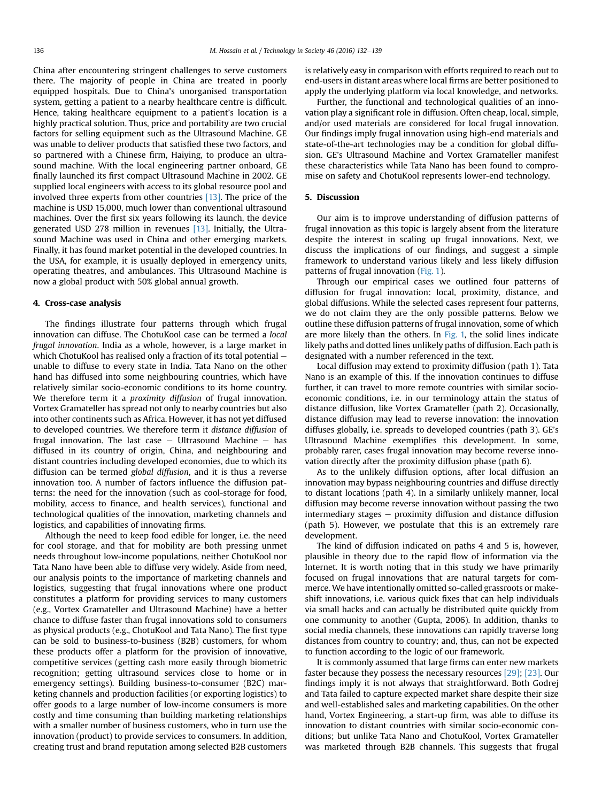China after encountering stringent challenges to serve customers there. The majority of people in China are treated in poorly equipped hospitals. Due to China's unorganised transportation system, getting a patient to a nearby healthcare centre is difficult. Hence, taking healthcare equipment to a patient's location is a highly practical solution. Thus, price and portability are two crucial factors for selling equipment such as the Ultrasound Machine. GE was unable to deliver products that satisfied these two factors, and so partnered with a Chinese firm, Haiying, to produce an ultrasound machine. With the local engineering partner onboard, GE finally launched its first compact Ultrasound Machine in 2002. GE supplied local engineers with access to its global resource pool and involved three experts from other countries [\[13\]](#page-6-0). The price of the machine is USD 15,000, much lower than conventional ultrasound machines. Over the first six years following its launch, the device generated USD 278 million in revenues [\[13\]](#page-6-0). Initially, the Ultrasound Machine was used in China and other emerging markets. Finally, it has found market potential in the developed countries. In the USA, for example, it is usually deployed in emergency units, operating theatres, and ambulances. This Ultrasound Machine is now a global product with 50% global annual growth.

#### 4. Cross-case analysis

The findings illustrate four patterns through which frugal innovation can diffuse. The ChotuKool case can be termed a local frugal innovation. India as a whole, however, is a large market in which ChotuKool has realised only a fraction of its total potential  $$ unable to diffuse to every state in India. Tata Nano on the other hand has diffused into some neighbouring countries, which have relatively similar socio-economic conditions to its home country. We therefore term it a *proximity diffusion* of frugal innovation. Vortex Gramateller has spread not only to nearby countries but also into other continents such as Africa. However, it has not yet diffused to developed countries. We therefore term it distance diffusion of frugal innovation. The last case  $-$  Ultrasound Machine  $-$  has diffused in its country of origin, China, and neighbouring and distant countries including developed economies, due to which its diffusion can be termed global diffusion, and it is thus a reverse innovation too. A number of factors influence the diffusion patterns: the need for the innovation (such as cool-storage for food, mobility, access to finance, and health services), functional and technological qualities of the innovation, marketing channels and logistics, and capabilities of innovating firms.

Although the need to keep food edible for longer, i.e. the need for cool storage, and that for mobility are both pressing unmet needs throughout low-income populations, neither ChotuKool nor Tata Nano have been able to diffuse very widely. Aside from need, our analysis points to the importance of marketing channels and logistics, suggesting that frugal innovations where one product constitutes a platform for providing services to many customers (e.g., Vortex Gramateller and Ultrasound Machine) have a better chance to diffuse faster than frugal innovations sold to consumers as physical products (e.g., ChotuKool and Tata Nano). The first type can be sold to business-to-business (B2B) customers, for whom these products offer a platform for the provision of innovative, competitive services (getting cash more easily through biometric recognition; getting ultrasound services close to home or in emergency settings). Building business-to-consumer (B2C) marketing channels and production facilities (or exporting logistics) to offer goods to a large number of low-income consumers is more costly and time consuming than building marketing relationships with a smaller number of business customers, who in turn use the innovation (product) to provide services to consumers. In addition, creating trust and brand reputation among selected B2B customers is relatively easy in comparison with efforts required to reach out to end-users in distant areas where local firms are better positioned to apply the underlying platform via local knowledge, and networks.

Further, the functional and technological qualities of an innovation play a significant role in diffusion. Often cheap, local, simple, and/or used materials are considered for local frugal innovation. Our findings imply frugal innovation using high-end materials and state-of-the-art technologies may be a condition for global diffusion. GE's Ultrasound Machine and Vortex Gramateller manifest these characteristics while Tata Nano has been found to compromise on safety and ChotuKool represents lower-end technology.

## 5. Discussion

Our aim is to improve understanding of diffusion patterns of frugal innovation as this topic is largely absent from the literature despite the interest in scaling up frugal innovations. Next, we discuss the implications of our findings, and suggest a simple framework to understand various likely and less likely diffusion patterns of frugal innovation [\(Fig. 1\)](#page-5-0).

Through our empirical cases we outlined four patterns of diffusion for frugal innovation: local, proximity, distance, and global diffusions. While the selected cases represent four patterns, we do not claim they are the only possible patterns. Below we outline these diffusion patterns of frugal innovation, some of which are more likely than the others. In [Fig. 1,](#page-5-0) the solid lines indicate likely paths and dotted lines unlikely paths of diffusion. Each path is designated with a number referenced in the text.

Local diffusion may extend to proximity diffusion (path 1). Tata Nano is an example of this. If the innovation continues to diffuse further, it can travel to more remote countries with similar socioeconomic conditions, i.e. in our terminology attain the status of distance diffusion, like Vortex Gramateller (path 2). Occasionally, distance diffusion may lead to reverse innovation: the innovation diffuses globally, i.e. spreads to developed countries (path 3). GE's Ultrasound Machine exemplifies this development. In some, probably rarer, cases frugal innovation may become reverse innovation directly after the proximity diffusion phase (path 6).

As to the unlikely diffusion options, after local diffusion an innovation may bypass neighbouring countries and diffuse directly to distant locations (path 4). In a similarly unlikely manner, local diffusion may become reverse innovation without passing the two intermediary stages  $-$  proximity diffusion and distance diffusion (path 5). However, we postulate that this is an extremely rare development.

The kind of diffusion indicated on paths 4 and 5 is, however, plausible in theory due to the rapid flow of information via the Internet. It is worth noting that in this study we have primarily focused on frugal innovations that are natural targets for commerce. We have intentionally omitted so-called grassroots or makeshift innovations, i.e. various quick fixes that can help individuals via small hacks and can actually be distributed quite quickly from one community to another (Gupta, 2006). In addition, thanks to social media channels, these innovations can rapidly traverse long distances from country to country; and, thus, can not be expected to function according to the logic of our framework.

It is commonly assumed that large firms can enter new markets faster because they possess the necessary resources [\[29\]](#page-6-0); [\[23\].](#page-6-0) Our findings imply it is not always that straightforward. Both Godrej and Tata failed to capture expected market share despite their size and well-established sales and marketing capabilities. On the other hand, Vortex Engineering, a start-up firm, was able to diffuse its innovation to distant countries with similar socio-economic conditions; but unlike Tata Nano and ChotuKool, Vortex Gramateller was marketed through B2B channels. This suggests that frugal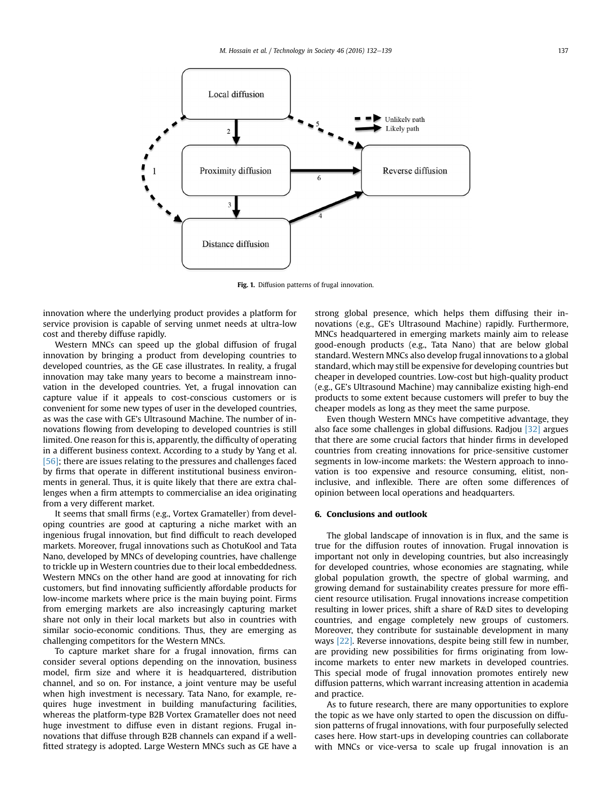<span id="page-5-0"></span>

Fig. 1. Diffusion patterns of frugal innovation.

innovation where the underlying product provides a platform for service provision is capable of serving unmet needs at ultra-low cost and thereby diffuse rapidly.

Western MNCs can speed up the global diffusion of frugal innovation by bringing a product from developing countries to developed countries, as the GE case illustrates. In reality, a frugal innovation may take many years to become a mainstream innovation in the developed countries. Yet, a frugal innovation can capture value if it appeals to cost-conscious customers or is convenient for some new types of user in the developed countries, as was the case with GE's Ultrasound Machine. The number of innovations flowing from developing to developed countries is still limited. One reason for this is, apparently, the difficulty of operating in a different business context. According to a study by Yang et al. [\[56\];](#page-6-0) there are issues relating to the pressures and challenges faced by firms that operate in different institutional business environments in general. Thus, it is quite likely that there are extra challenges when a firm attempts to commercialise an idea originating from a very different market.

It seems that small firms (e.g., Vortex Gramateller) from developing countries are good at capturing a niche market with an ingenious frugal innovation, but find difficult to reach developed markets. Moreover, frugal innovations such as ChotuKool and Tata Nano, developed by MNCs of developing countries, have challenge to trickle up in Western countries due to their local embeddedness. Western MNCs on the other hand are good at innovating for rich customers, but find innovating sufficiently affordable products for low-income markets where price is the main buying point. Firms from emerging markets are also increasingly capturing market share not only in their local markets but also in countries with similar socio-economic conditions. Thus, they are emerging as challenging competitors for the Western MNCs.

To capture market share for a frugal innovation, firms can consider several options depending on the innovation, business model, firm size and where it is headquartered, distribution channel, and so on. For instance, a joint venture may be useful when high investment is necessary. Tata Nano, for example, requires huge investment in building manufacturing facilities, whereas the platform-type B2B Vortex Gramateller does not need huge investment to diffuse even in distant regions. Frugal innovations that diffuse through B2B channels can expand if a wellfitted strategy is adopted. Large Western MNCs such as GE have a strong global presence, which helps them diffusing their innovations (e.g., GE's Ultrasound Machine) rapidly. Furthermore, MNCs headquartered in emerging markets mainly aim to release good-enough products (e.g., Tata Nano) that are below global standard. Western MNCs also develop frugal innovations to a global standard, which may still be expensive for developing countries but cheaper in developed countries. Low-cost but high-quality product (e.g., GE's Ultrasound Machine) may cannibalize existing high-end products to some extent because customers will prefer to buy the cheaper models as long as they meet the same purpose.

Even though Western MNCs have competitive advantage, they also face some challenges in global diffusions. Radjou [\[32\]](#page-6-0) argues that there are some crucial factors that hinder firms in developed countries from creating innovations for price-sensitive customer segments in low-income markets: the Western approach to innovation is too expensive and resource consuming, elitist, noninclusive, and inflexible. There are often some differences of opinion between local operations and headquarters.

#### 6. Conclusions and outlook

The global landscape of innovation is in flux, and the same is true for the diffusion routes of innovation. Frugal innovation is important not only in developing countries, but also increasingly for developed countries, whose economies are stagnating, while global population growth, the spectre of global warming, and growing demand for sustainability creates pressure for more efficient resource utilisation. Frugal innovations increase competition resulting in lower prices, shift a share of R&D sites to developing countries, and engage completely new groups of customers. Moreover, they contribute for sustainable development in many ways [\[22\].](#page-6-0) Reverse innovations, despite being still few in number, are providing new possibilities for firms originating from lowincome markets to enter new markets in developed countries. This special mode of frugal innovation promotes entirely new diffusion patterns, which warrant increasing attention in academia and practice.

As to future research, there are many opportunities to explore the topic as we have only started to open the discussion on diffusion patterns of frugal innovations, with four purposefully selected cases here. How start-ups in developing countries can collaborate with MNCs or vice-versa to scale up frugal innovation is an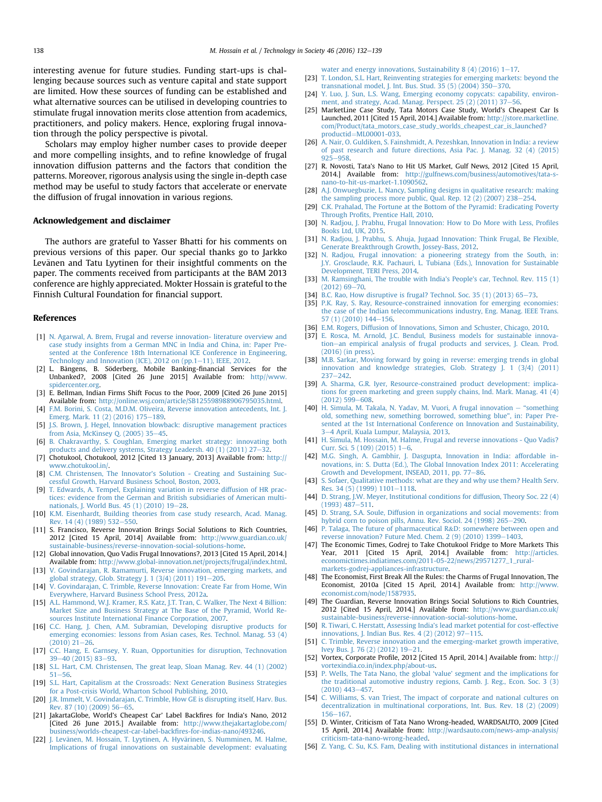<span id="page-6-0"></span>interesting avenue for future studies. Funding start-ups is challenging because sources such as venture capital and state support are limited. How these sources of funding can be established and what alternative sources can be utilised in developing countries to stimulate frugal innovation merits close attention from academics, practitioners, and policy makers. Hence, exploring frugal innovation through the policy perspective is pivotal.

Scholars may employ higher number cases to provide deeper and more compelling insights, and to refine knowledge of frugal innovation diffusion patterns and the factors that condition the patterns. Moreover, rigorous analysis using the single in-depth case method may be useful to study factors that accelerate or enervate the diffusion of frugal innovation in various regions.

## Acknowledgement and disclaimer

The authors are grateful to Yasser Bhatti for his comments on previous versions of this paper. Our special thanks go to Jarkko Levänen and Tatu Lyytinen for their insightful comments on the paper. The comments received from participants at the BAM 2013 conference are highly appreciated. Mokter Hossain is grateful to the Finnish Cultural Foundation for financial support.

## References

- [1] [N. Agarwal, A. Brem, Frugal and reverse innovation- literature overview and](http://refhub.elsevier.com/S0160-791X(15)30062-2/sref1) [case study insights from a German MNC in India and China, in: Paper Pre](http://refhub.elsevier.com/S0160-791X(15)30062-2/sref1)[sented at the Conference 18th International ICE Conference in Engineering,](http://refhub.elsevier.com/S0160-791X(15)30062-2/sref1) Technology and Innovation (ICE),  $2012$  on (pp.1-[11\), IEEE, 2012](http://refhub.elsevier.com/S0160-791X(15)30062-2/sref1).
- [2] L. Bångens, B. Söderberg, Mobile Banking-financial Services for the Unbanked?, 2008 [Cited 26 June 2015] Available from: [http//www.](http://http//www.spidercenter.org) [spidercenter.org](http://http//www.spidercenter.org).
- [3] E. Bellman, Indian Firms Shift Focus to the Poor, 2009 [Cited 26 June 2015] Available from: <http://online.wsj.com/article/SB125598988906795035.html>.
- [4] [F.M. Borini, S. Costa, M.D.M. Oliveira, Reverse innovation antecedents, Int. J.](http://refhub.elsevier.com/S0160-791X(15)30062-2/sref4) [Emerg. Mark. 11 \(2\) \(2016\) 175](http://refhub.elsevier.com/S0160-791X(15)30062-2/sref4)-[189](http://refhub.elsevier.com/S0160-791X(15)30062-2/sref4).
- [5] [J.S. Brown, J. Hegel, Innovation blowback: disruptive management practices](http://refhub.elsevier.com/S0160-791X(15)30062-2/sref5) [from Asia, McKinsey Q. \(2005\) 35](http://refhub.elsevier.com/S0160-791X(15)30062-2/sref5)-[45](http://refhub.elsevier.com/S0160-791X(15)30062-2/sref5).
- [6] [B. Chakravarthy, S. Coughlan, Emerging market strategy: innovating both](http://refhub.elsevier.com/S0160-791X(15)30062-2/sref6) products and delivery systems, Strategy Leadersh. 40 (1)  $(2011)$  27–[32.](http://refhub.elsevier.com/S0160-791X(15)30062-2/sref6)
- [7] Chotukool, Chotukool, 2012 [Cited 13 January, 2013] Available from: [http://](http://www.chotukool.in/) [www.chotukool.in/](http://www.chotukool.in/).
- [8] C.M. Christensen, The Innovator'[s Solution Creating and Sustaining Suc](http://refhub.elsevier.com/S0160-791X(15)30062-2/sref8)[cessful Growth, Harvard Business School, Boston, 2003](http://refhub.elsevier.com/S0160-791X(15)30062-2/sref8).
- [9] [T. Edwards, A. Tempel, Explaining variation in reverse diffusion of HR prac](http://refhub.elsevier.com/S0160-791X(15)30062-2/sref9)[tices: evidence from the German and British subsidiaries of American multi](http://refhub.elsevier.com/S0160-791X(15)30062-2/sref9)nationals, J. World Bus.  $45(1)(2010)$  19-[28.](http://refhub.elsevier.com/S0160-791X(15)30062-2/sref9)
- [10] [K.M. Eisenhardt, Building theories from case study research, Acad. Manag.](http://refhub.elsevier.com/S0160-791X(15)30062-2/sref10) [Rev. 14 \(4\) \(1989\) 532](http://refhub.elsevier.com/S0160-791X(15)30062-2/sref10)-[550.](http://refhub.elsevier.com/S0160-791X(15)30062-2/sref10)
- [11] S. Francisco, Reverse Innovation Brings Social Solutions to Rich Countries, 2012 [Cited 15 April, 2014] Available from: [http://www.guardian.co.uk/](http://www.guardian.co.uk/sustainable-business/reverse-innovation-social-solutions-home) [sustainable-business/reverse-innovation-social-solutions-home](http://www.guardian.co.uk/sustainable-business/reverse-innovation-social-solutions-home).
- [12] Global innovation, Quo Vadis Frugal Innovations?, 2013 [Cited 15 April, 2014.] Available from: <http://www.global-innovation.net/projects/frugal/index.html>.
- [13] [V. Govindarajan, R. Ramamurti, Reverse innovation, emerging markets, and](http://refhub.elsevier.com/S0160-791X(15)30062-2/sref13) [global strategy, Glob. Strategy J. 1 \(3/4\) \(2011\) 191](http://refhub.elsevier.com/S0160-791X(15)30062-2/sref13)–[205](http://refhub.elsevier.com/S0160-791X(15)30062-2/sref13).
- [14] [V. Govindarajan, C. Trimble, Reverse Innovation: Create Far from Home, Win](http://refhub.elsevier.com/S0160-791X(15)30062-2/sref14) [Everywhere, Harvard Business School Press, 2012a](http://refhub.elsevier.com/S0160-791X(15)30062-2/sref14).
- [15] [A.L. Hammond, W.J. Kramer, R.S. Katz, J.T. Tran, C. Walker, The Next 4 Billion:](http://refhub.elsevier.com/S0160-791X(15)30062-2/sref15) [Market Size and Business Strategy at The Base of the Pyramid, World Re](http://refhub.elsevier.com/S0160-791X(15)30062-2/sref15)[sources Institute International Finance Corporation, 2007.](http://refhub.elsevier.com/S0160-791X(15)30062-2/sref15)
- [16] [C.C. Hang, J. Chen, A.M. Subramian, Developing disruptive products for](http://refhub.elsevier.com/S0160-791X(15)30062-2/sref16) [emerging economies: lessons from Asian cases, Res. Technol. Manag. 53 \(4\)](http://refhub.elsevier.com/S0160-791X(15)30062-2/sref16)  $(2010)$   $21 - 26$ .
- [17] [C.C. Hang, E. Garnsey, Y. Ruan, Opportunities for disruption, Technovation](http://refhub.elsevier.com/S0160-791X(15)30062-2/sref17) [39](http://refhub.elsevier.com/S0160-791X(15)30062-2/sref17)-[40 \(2015\) 83](http://refhub.elsevier.com/S0160-791X(15)30062-2/sref17)-[93.](http://refhub.elsevier.com/S0160-791X(15)30062-2/sref17)
- [18] [S.L. Hart, C.M. Christensen, The great leap, Sloan Manag. Rev. 44 \(1\) \(2002\)](http://refhub.elsevier.com/S0160-791X(15)30062-2/sref18)  $51 - 56$  $51 - 56$  $51 - 56$
- [19] [S.L. Hart, Capitalism at the Crossroads: Next Generation Business Strategies](http://refhub.elsevier.com/S0160-791X(15)30062-2/sref19) [for a Post-crisis World, Wharton School Publishing, 2010.](http://refhub.elsevier.com/S0160-791X(15)30062-2/sref19)
- [20] [J.R. Immelt, V. Govindarajan, C. Trimble, How GE is disrupting itself, Harv. Bus.](http://refhub.elsevier.com/S0160-791X(15)30062-2/sref20) [Rev. 87 \(10\) \(2009\) 56](http://refhub.elsevier.com/S0160-791X(15)30062-2/sref20)-[65.](http://refhub.elsevier.com/S0160-791X(15)30062-2/sref20)
- [21] JakartaGlobe, World's Cheapest Car' Label Backfires for India's Nano, 2012 [Cited 26 June 2015.] Available from: [http://www.thejakartaglobe.com/](http://www.thejakartaglobe.com/business/worlds-cheapest-car-label-backfires-for-indias-nano/493246) [business/worlds-cheapest-car-label-back](http://www.thejakartaglobe.com/business/worlds-cheapest-car-label-backfires-for-indias-nano/493246)fires-for-indias-nano/493246.
- [22] [J. Lev](http://refhub.elsevier.com/S0160-791X(15)30062-2/sref22)änen, M. Hossain, T. Lyytinen, A. Hyvä[rinen, S. Numminen, M. Halme,](http://refhub.elsevier.com/S0160-791X(15)30062-2/sref22) [Implications of frugal innovations on sustainable development: evaluating](http://refhub.elsevier.com/S0160-791X(15)30062-2/sref22)

water and energy innovations, Sustainability 8 (4) (2016)  $1-17$  $1-17$ .

- [23] [T. London, S.L. Hart, Reinventing strategies for emerging markets: beyond the](http://refhub.elsevier.com/S0160-791X(15)30062-2/sref23) transnational model, J. Int. Bus. Stud.  $35(5)(2004)350-370$ .
- [24] [Y. Luo, J. Sun, L.S. Wang, Emerging economy copycats: capability, environ](http://refhub.elsevier.com/S0160-791X(15)30062-2/sref24)ment, and strategy, Acad. Manag. Perspect.  $25$  (2) (2011) 37–[56.](http://refhub.elsevier.com/S0160-791X(15)30062-2/sref24)
- [25] MarketLine Case Study, Tata Motors Case Study, World's Cheapest Car Is Launched, 2011 [Cited 15 April, 2014.] Available from: [http://store.marketline.](http://store.marketline.com/Product/tata_motors_case_study_worlds_cheapest_car_is_launched?productid=ML00001-033) [com/Product/tata\\_motors\\_case\\_study\\_worlds\\_cheapest\\_car\\_is\\_launched?](http://store.marketline.com/Product/tata_motors_case_study_worlds_cheapest_car_is_launched?productid=ML00001-033) [productid](http://store.marketline.com/Product/tata_motors_case_study_worlds_cheapest_car_is_launched?productid=ML00001-033)=[ML00001-033](http://store.marketline.com/Product/tata_motors_case_study_worlds_cheapest_car_is_launched?productid=ML00001-033).
- [26] [A. Nair, O. Guldiken, S. Fainshmidt, A. Pezeshkan, Innovation in India: a review](http://refhub.elsevier.com/S0160-791X(15)30062-2/sref26) [of past research and future directions, Asia Pac. J. Manag. 32 \(4\) \(2015\)](http://refhub.elsevier.com/S0160-791X(15)30062-2/sref26)  $925 - 958$  $925 - 958$ .
- [27] R. Novosti, Tata's Nano to Hit US Market, Gulf News, 2012 [Cited 15 April, 2014.] Available from: [http://gulfnews.com/business/automotives/tata-s](http://gulfnews.com/business/automotives/tata-s-nano-to-hit-us-market-1.1090562)[nano-to-hit-us-market-1.1090562.](http://gulfnews.com/business/automotives/tata-s-nano-to-hit-us-market-1.1090562)
- [28] [A.J. Onwuegbuzie, L. Nancy, Sampling designs in qualitative research: making](http://refhub.elsevier.com/S0160-791X(15)30062-2/sref28) the sampling process more public, Qual. Rep.  $12(2)(2007)$  238-[254](http://refhub.elsevier.com/S0160-791X(15)30062-2/sref28).
- [29] [C.K. Prahalad, The Fortune at the Bottom of the Pyramid: Eradicating Poverty](http://refhub.elsevier.com/S0160-791X(15)30062-2/sref29) Through Profi[ts, Prentice Hall, 2010](http://refhub.elsevier.com/S0160-791X(15)30062-2/sref29).
- [30] [N. Radjou, J. Prabhu, Frugal Innovation: How to Do More with Less, Pro](http://refhub.elsevier.com/S0160-791X(15)30062-2/sref30)files [Books Ltd, UK, 2015](http://refhub.elsevier.com/S0160-791X(15)30062-2/sref30).
- [31] [N. Radjou, J. Prabhu, S. Ahuja, Jugaad Innovation: Think Frugal, Be Flexible,](http://refhub.elsevier.com/S0160-791X(15)30062-2/sref31) [Generate Breakthrough Growth, Jossey-Bass, 2012.](http://refhub.elsevier.com/S0160-791X(15)30062-2/sref31)
- [32] [N. Radjou, Frugal innovation: a pioneering strategy from the South, in:](http://refhub.elsevier.com/S0160-791X(15)30062-2/sref32) [J.Y. Grosclaude, R.K. Pachauri, L. Tubiana \(Eds.\), Innovation for Sustainable](http://refhub.elsevier.com/S0160-791X(15)30062-2/sref32) [Development, TERI Press, 2014.](http://refhub.elsevier.com/S0160-791X(15)30062-2/sref32)
- [33] [M. Ramsinghani, The trouble with India](http://refhub.elsevier.com/S0160-791X(15)30062-2/sref33)'s People's car, Technol. Rev. 115 (1)  $(2012)$  69 $-70$  $-70$ .
- [34] [B.C. Rao, How disruptive is frugal? Technol. Soc. 35 \(1\) \(2013\) 65](http://refhub.elsevier.com/S0160-791X(15)30062-2/sref34)-[73.](http://refhub.elsevier.com/S0160-791X(15)30062-2/sref34)
- [35] [P.K. Ray, S. Ray, Resource-constrained innovation for emerging economies:](http://refhub.elsevier.com/S0160-791X(15)30062-2/sref35) [the case of the Indian telecommunications industry, Eng. Manag. IEEE Trans.](http://refhub.elsevier.com/S0160-791X(15)30062-2/sref35) [57 \(1\) \(2010\) 144](http://refhub.elsevier.com/S0160-791X(15)30062-2/sref35)-[156.](http://refhub.elsevier.com/S0160-791X(15)30062-2/sref35)
- [36] [E.M. Rogers, Diffusion of Innovations, Simon and Schuster, Chicago, 2010.](http://refhub.elsevier.com/S0160-791X(15)30062-2/sref36)
- [37] [E. Rosca, M. Arnold, J.C. Bendul, Business models for sustainable innova](http://refhub.elsevier.com/S0160-791X(15)30062-2/sref37)[tion](http://refhub.elsevier.com/S0160-791X(15)30062-2/sref37)-[an empirical analysis of frugal products and services, J. Clean. Prod.](http://refhub.elsevier.com/S0160-791X(15)30062-2/sref37) [\(2016\) \(in press\)](http://refhub.elsevier.com/S0160-791X(15)30062-2/sref37).
- [38] [M.B. Sarkar, Moving forward by going in reverse: emerging trends in global](http://refhub.elsevier.com/S0160-791X(15)30062-2/sref38) [innovation and knowledge strategies, Glob. Strategy J. 1 \(3/4\) \(2011\)](http://refhub.elsevier.com/S0160-791X(15)30062-2/sref38)  $237 - 242$  $237 - 242$ .
- [39] [A. Sharma, G.R. Iyer, Resource-constrained product development: implica](http://refhub.elsevier.com/S0160-791X(15)30062-2/sref39)[tions for green marketing and green supply chains, Ind. Mark. Manag. 41 \(4\)](http://refhub.elsevier.com/S0160-791X(15)30062-2/sref39)  $(2012)$  599-[608](http://refhub.elsevier.com/S0160-791X(15)30062-2/sref39).
- [40] [H. Simula, M. Takala, N. Yadav, M. Vuori, A frugal innovation](http://refhub.elsevier.com/S0160-791X(15)30062-2/sref40) "[something](http://refhub.elsevier.com/S0160-791X(15)30062-2/sref40) [old, something new, something borrowed, something blue](http://refhub.elsevier.com/S0160-791X(15)30062-2/sref40)", in: Paper Pre[sented at the 1st International Conference on Innovation and Sustainability,](http://refhub.elsevier.com/S0160-791X(15)30062-2/sref40) [3](http://refhub.elsevier.com/S0160-791X(15)30062-2/sref40)-[4 April, Kuala Lumpur, Malaysia, 2013.](http://refhub.elsevier.com/S0160-791X(15)30062-2/sref40)
- [41] [H. Simula, M. Hossain, M. Halme, Frugal and reverse innovations Quo Vadis?](http://refhub.elsevier.com/S0160-791X(15)30062-2/sref41) [Curr. Sci. 5 \(109\) \(2015\) 1](http://refhub.elsevier.com/S0160-791X(15)30062-2/sref41)-[6](http://refhub.elsevier.com/S0160-791X(15)30062-2/sref41).
- [42] [M.G. Singh, A. Gambhir, J. Dasgupta, Innovation in India: affordable in-](http://refhub.elsevier.com/S0160-791X(15)30062-2/sref42)[novations, in: S. Dutta \(Ed.\), The Global Innovation Index 2011: Accelerating](http://refhub.elsevier.com/S0160-791X(15)30062-2/sref42) [Growth and Development, INSEAD, 2011, pp. 77](http://refhub.elsevier.com/S0160-791X(15)30062-2/sref42)-[86.](http://refhub.elsevier.com/S0160-791X(15)30062-2/sref42)
- [43] [S. Sofaer, Qualitative methods: what are they and why use them? Health Serv.](http://refhub.elsevier.com/S0160-791X(15)30062-2/sref43) [Res. 34 \(5\) \(1999\) 1101](http://refhub.elsevier.com/S0160-791X(15)30062-2/sref43)-[1118](http://refhub.elsevier.com/S0160-791X(15)30062-2/sref43).
- [44] [D. Strang, J.W. Meyer, Institutional conditions for diffusion, Theory Soc. 22 \(4\)](http://refhub.elsevier.com/S0160-791X(15)30062-2/sref44)  $(1993)$  487-[511](http://refhub.elsevier.com/S0160-791X(15)30062-2/sref44).
- [45] [D. Strang, S.A. Soule, Diffusion in organizations and social movements: from](http://refhub.elsevier.com/S0160-791X(15)30062-2/sref45) [hybrid corn to poison pills, Annu. Rev. Sociol. 24 \(1998\) 265](http://refhub.elsevier.com/S0160-791X(15)30062-2/sref45)-[290](http://refhub.elsevier.com/S0160-791X(15)30062-2/sref45).
- [46] [P. Talaga, The future of pharmaceutical R](http://refhub.elsevier.com/S0160-791X(15)30062-2/sref46)&[D: somewhere between open and](http://refhub.elsevier.com/S0160-791X(15)30062-2/sref46) reverse innovation? Future Med. Chem.  $2(9)(2010)$  1399-[1403.](http://refhub.elsevier.com/S0160-791X(15)30062-2/sref46)
- [47] The Economic Times, Godrej to Take Chotukool Fridge to More Markets This Year, 2011 [Cited 15 April, 2014.] Available from: [http://articles.](http://articles.economictimes.indiatimes.com/2011-05-22/news/29571277_1_rural-markets-godrej-appliances-infrastructure) [economictimes.indiatimes.com/2011-05-22/news/29571277\\_1\\_rural](http://articles.economictimes.indiatimes.com/2011-05-22/news/29571277_1_rural-markets-godrej-appliances-infrastructure)[markets-godrej-appliances-infrastructure.](http://articles.economictimes.indiatimes.com/2011-05-22/news/29571277_1_rural-markets-godrej-appliances-infrastructure)
- [48] The Economist, First Break All the Rules: the Charms of Frugal Innovation, The Economist, 2010a [Cited 15 April, 2014.] Available from: [http://www.](http://www.economist.com/node/1587935) [economist.com/node/1587935](http://www.economist.com/node/1587935).
- [49] The Guardian, Reverse Innovation Brings Social Solutions to Rich Countries, 2012 [Cited 15 April, 2014.] Available from: [http://www.guardian.co.uk/](http://www.guardian.co.uk/sustainable-business/reverse-innovation-social-solutions-home) [sustainable-business/reverse-innovation-social-solutions-home](http://www.guardian.co.uk/sustainable-business/reverse-innovation-social-solutions-home).
- [50] R. Tiwari, C. Herstatt, Assessing India'[s lead market potential for cost-effective](http://refhub.elsevier.com/S0160-791X(15)30062-2/sref50) innovations, J. Indian Bus. Res.  $4(2)(2012)$  97-[115](http://refhub.elsevier.com/S0160-791X(15)30062-2/sref50).
- [51] [C. Trimble, Reverse innovation and the emerging-market growth imperative,](http://refhub.elsevier.com/S0160-791X(15)30062-2/sref51) [Ivey Bus. J. 76 \(2\) \(2012\) 19](http://refhub.elsevier.com/S0160-791X(15)30062-2/sref51)-[21](http://refhub.elsevier.com/S0160-791X(15)30062-2/sref51).
- [52] Vortex, Corporate Profile, 2012 [Cited 15 April, 2014.] Available from: [http://](http://vortexindia.co.in/index.php/about-us) [vortexindia.co.in/index.php/about-us](http://vortexindia.co.in/index.php/about-us).
- [53] [P. Wells, The Tata Nano, the global](http://refhub.elsevier.com/S0160-791X(15)30062-2/sref53) 'value' segment and the implications for [the traditional automotive industry regions, Camb. J. Reg., Econ. Soc. 3 \(3\)](http://refhub.elsevier.com/S0160-791X(15)30062-2/sref53)  $(2010)$  443-[457](http://refhub.elsevier.com/S0160-791X(15)30062-2/sref53).
- [54] [C. Williams, S. van Triest, The impact of corporate and national cultures on](http://refhub.elsevier.com/S0160-791X(15)30062-2/sref54) [decentralization in multinational corporations, Int. Bus. Rev. 18 \(2\) \(2009\)](http://refhub.elsevier.com/S0160-791X(15)30062-2/sref54) [156](http://refhub.elsevier.com/S0160-791X(15)30062-2/sref54)-[167.](http://refhub.elsevier.com/S0160-791X(15)30062-2/sref54)
- [55] D. Winter, Criticism of Tata Nano Wrong-headed, WARDSAUTO, 2009 [Cited 15 April, 2014.] Available from: [http://wardsauto.com/news-amp-analysis/](http://wardsauto.com/news-amp-analysis/criticism-tata-nano-wrong-headed) [criticism-tata-nano-wrong-headed](http://wardsauto.com/news-amp-analysis/criticism-tata-nano-wrong-headed).
- [56] [Z. Yang, C. Su, K.S. Fam, Dealing with institutional distances in international](http://refhub.elsevier.com/S0160-791X(15)30062-2/sref56)